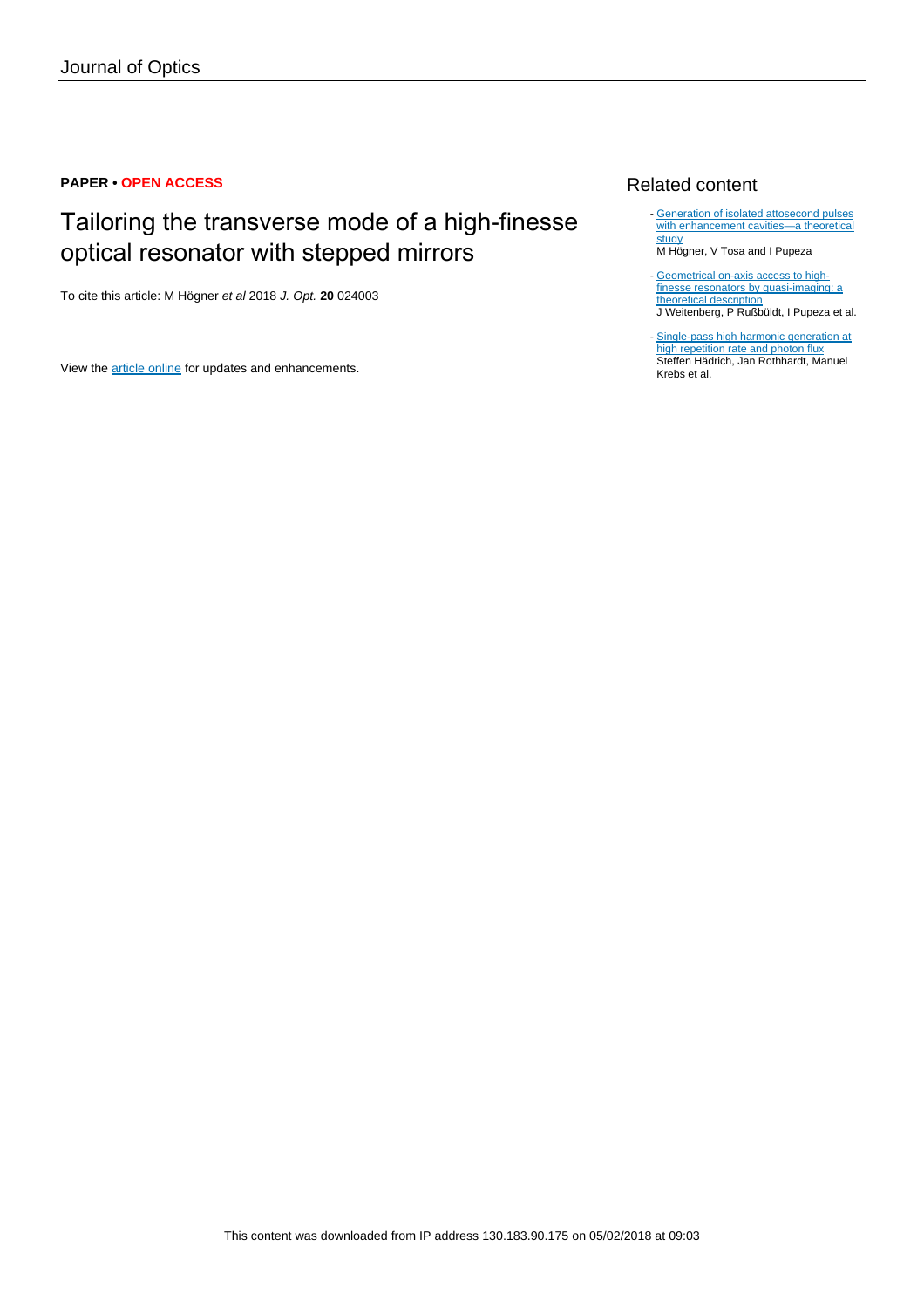# **PAPER • OPEN ACCESS**

# Tailoring the transverse mode of a high-finesse optical resonator with stepped mirrors

To cite this article: M Högner et al 2018 J. Opt. **20** 024003

View the [article online](https://doi.org/10.1088/2040-8986/aa9ece) for updates and enhancements.

# Related content

- [Generation of isolated attosecond pulses](http://iopscience.iop.org/article/10.1088/1367-2630/aa6315) [with enhancement cavities—a theoretical](http://iopscience.iop.org/article/10.1088/1367-2630/aa6315) [study](http://iopscience.iop.org/article/10.1088/1367-2630/aa6315)

M Högner, V Tosa and I Pupeza

- [Geometrical on-axis access to high](http://iopscience.iop.org/article/10.1088/2040-8978/17/2/025609)[finesse resonators by quasi-imaging: a](http://iopscience.iop.org/article/10.1088/2040-8978/17/2/025609) [theoretical description](http://iopscience.iop.org/article/10.1088/2040-8978/17/2/025609) J Weitenberg, P Rußbüldt, I Pupeza et al.
- [Single-pass high harmonic generation at](http://iopscience.iop.org/article/10.1088/0953-4075/49/17/172002) [high repetition rate and photon flux](http://iopscience.iop.org/article/10.1088/0953-4075/49/17/172002) Steffen Hädrich, Jan Rothhardt, Manuel Krebs et al.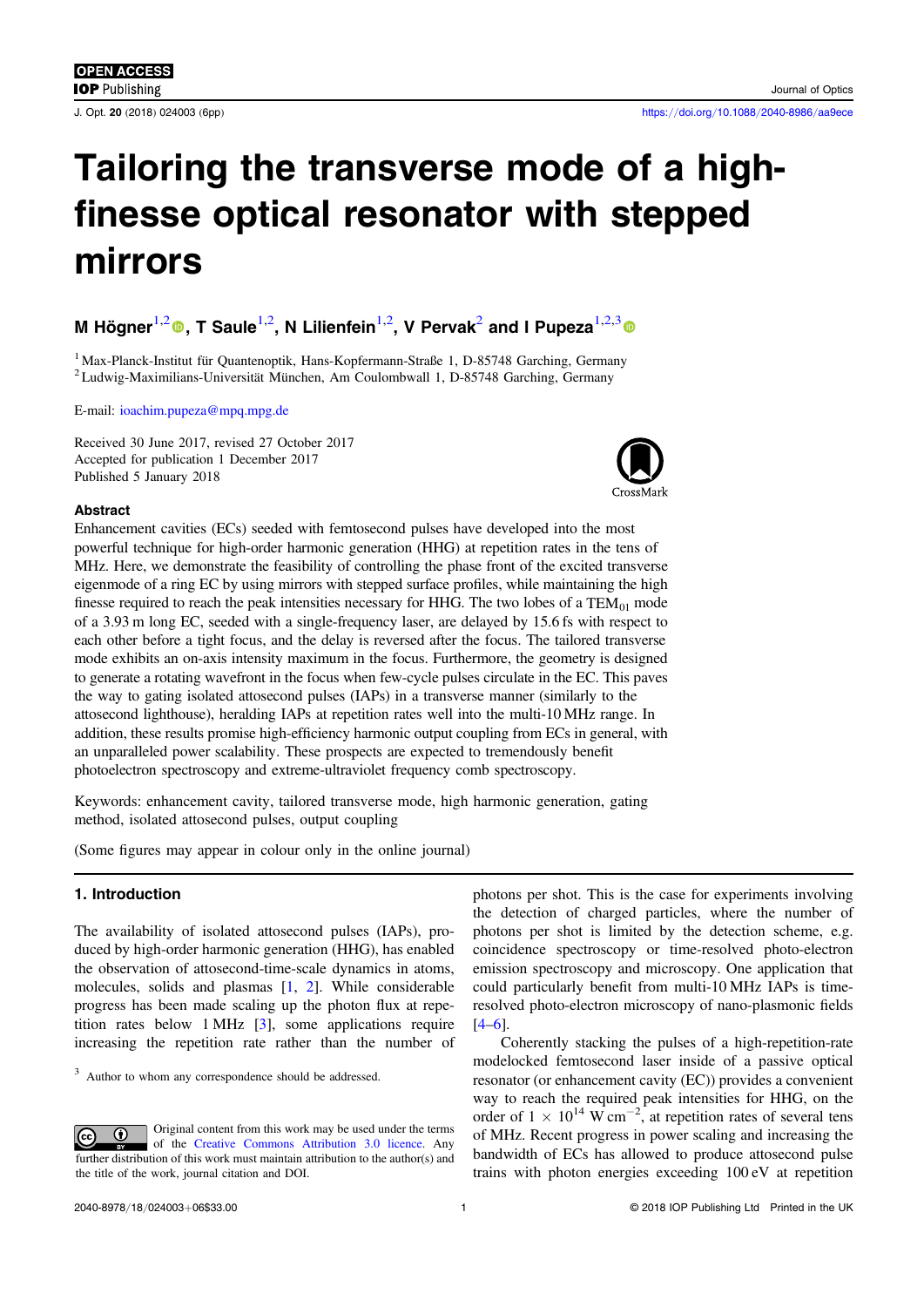# Tailoring the transverse mode of a highfinesse optical resonator with stepped mirrors

# M Högner $^{1,2}$  $^{1,2}$  $^{1,2}$ ®[,](https://orcid.org/0000-0002-6243-802X) T Saule $^{1,2}$ , N Lilienfein $^{1,2}$ , V Pervak $^2$  and I Pupeza $^{1,2,3}$  $^{1,2,3}$  $^{1,2,3}$

<sup>1</sup> Max-Planck-Institut für Quantenoptik, Hans-Kopfermann-Straße 1, D-85748 Garching, Germany <sup>2</sup> Ludwig-Maximilians-Universität München, Am Coulombwall 1, D-85748 Garching, Germany

E-mail: [ioachim.pupeza@mpq.mpg.de](mailto:ioachim.pupeza@mpq.mpg.de)

Received 30 June 2017, revised 27 October 2017 Accepted for publication 1 December 2017 Published 5 January 2018

## Abstract

Enhancement cavities (ECs) seeded with femtosecond pulses have developed into the most powerful technique for high-order harmonic generation (HHG) at repetition rates in the tens of MHz. Here, we demonstrate the feasibility of controlling the phase front of the excited transverse eigenmode of a ring EC by using mirrors with stepped surface profiles, while maintaining the high finesse required to reach the peak intensities necessary for HHG. The two lobes of a  $TEM_{01}$  mode of a 3.93 m long EC, seeded with a single-frequency laser, are delayed by 15.6 fs with respect to each other before a tight focus, and the delay is reversed after the focus. The tailored transverse mode exhibits an on-axis intensity maximum in the focus. Furthermore, the geometry is designed to generate a rotating wavefront in the focus when few-cycle pulses circulate in the EC. This paves the way to gating isolated attosecond pulses (IAPs) in a transverse manner (similarly to the attosecond lighthouse), heralding IAPs at repetition rates well into the multi-10 MHz range. In addition, these results promise high-efficiency harmonic output coupling from ECs in general, with an unparalleled power scalability. These prospects are expected to tremendously benefit photoelectron spectroscopy and extreme-ultraviolet frequency comb spectroscopy.

Keywords: enhancement cavity, tailored transverse mode, high harmonic generation, gating method, isolated attosecond pulses, output coupling

(Some figures may appear in colour only in the online journal)

# 1. Introduction

The availability of isolated attosecond pulses (IAPs), produced by high-order harmonic generation (HHG), has enabled the observation of attosecond-time-scale dynamics in atoms, molecules, solids and plasmas [[1](#page-6-0), [2](#page-6-0)]. While considerable progress has been made scaling up the photon flux at repetition rates below 1 MHz [[3](#page-6-0)], some applications require increasing the repetition rate rather than the number of

<sup>3</sup> Author to whom any correspondence should be addressed.

Original content from this work may be used under the terms  $\bigcirc$  $|G \rangle$ of the [Creative Commons Attribution 3.0 licence](http://creativecommons.org/licenses/by/3.0/). Any further distribution of this work must maintain attribution to the author(s) and the title of the work, journal citation and DOI.

photons per shot. This is the case for experiments involving the detection of charged particles, where the number of photons per shot is limited by the detection scheme, e.g. coincidence spectroscopy or time-resolved photo-electron emission spectroscopy and microscopy. One application that could particularly benefit from multi-10 MHz IAPs is timeresolved photo-electron microscopy of nano-plasmonic fields  $[4–6]$  $[4–6]$  $[4–6]$  $[4–6]$  $[4–6]$ .

Coherently stacking the pulses of a high-repetition-rate modelocked femtosecond laser inside of a passive optical resonator (or enhancement cavity (EC)) provides a convenient way to reach the required peak intensities for HHG, on the order of  $1 \times 10^{14}$  W cm<sup>-2</sup>, at repetition rates of several tens of MHz. Recent progress in power scaling and increasing the bandwidth of ECs has allowed to produce attosecond pulse trains with photon energies exceeding 100 eV at repetition

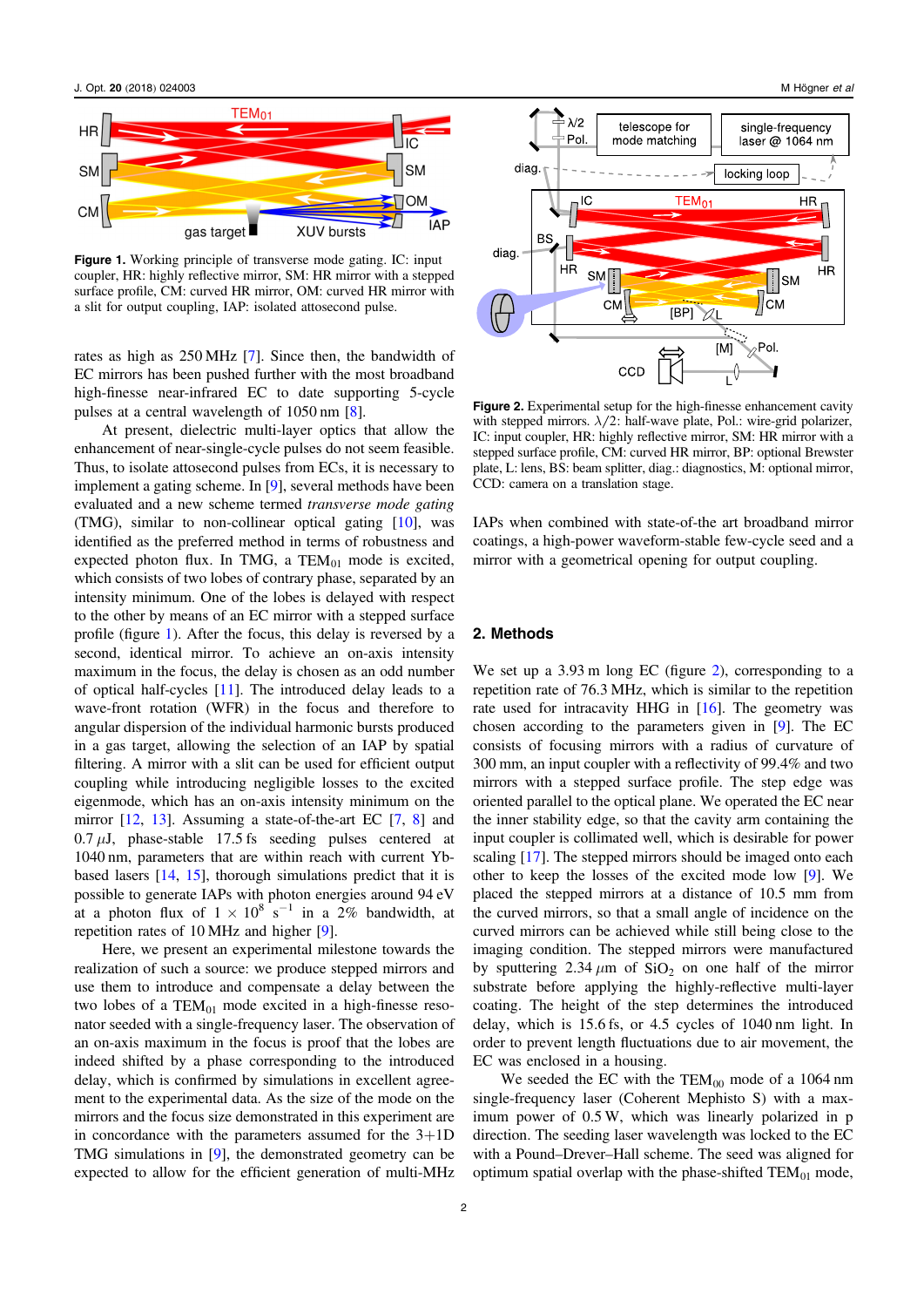J. Opt. 20 (2018) 024003 M Högner et al



Figure 1. Working principle of transverse mode gating. IC: input coupler, HR: highly reflective mirror, SM: HR mirror with a stepped surface profile, CM: curved HR mirror, OM: curved HR mirror with a slit for output coupling, IAP: isolated attosecond pulse.

rates as high as 250 MHz [[7](#page-6-0)]. Since then, the bandwidth of EC mirrors has been pushed further with the most broadband high-finesse near-infrared EC to date supporting 5-cycle pulses at a central wavelength of 1050 nm [[8](#page-6-0)].

At present, dielectric multi-layer optics that allow the enhancement of near-single-cycle pulses do not seem feasible. Thus, to isolate attosecond pulses from ECs, it is necessary to implement a gating scheme. In [[9](#page-6-0)], several methods have been evaluated and a new scheme termed transverse mode gating (TMG), similar to non-collinear optical gating [[10](#page-6-0)], was identified as the preferred method in terms of robustness and expected photon flux. In TMG, a  $TEM_{01}$  mode is excited, which consists of two lobes of contrary phase, separated by an intensity minimum. One of the lobes is delayed with respect to the other by means of an EC mirror with a stepped surface profile (figure 1). After the focus, this delay is reversed by a second, identical mirror. To achieve an on-axis intensity maximum in the focus, the delay is chosen as an odd number of optical half-cycles [[11](#page-6-0)]. The introduced delay leads to a wave-front rotation (WFR) in the focus and therefore to angular dispersion of the individual harmonic bursts produced in a gas target, allowing the selection of an IAP by spatial filtering. A mirror with a slit can be used for efficient output coupling while introducing negligible losses to the excited eigenmode, which has an on-axis intensity minimum on the mirror [[12](#page-6-0), [13](#page-6-0)]. Assuming a state-of-the-art EC [[7,](#page-6-0) [8](#page-6-0)] and  $0.7 \mu J$ , phase-stable 17.5 fs seeding pulses centered at 1040 nm, parameters that are within reach with current Ybbased lasers [[14](#page-6-0), [15](#page-6-0)], thorough simulations predict that it is possible to generate IAPs with photon energies around 94 eV at a photon flux of  $1 \times 10^8$  s<sup>-1</sup> in a 2% bandwidth, at repetition rates of 10 MHz and higher [[9](#page-6-0)].

Here, we present an experimental milestone towards the realization of such a source: we produce stepped mirrors and use them to introduce and compensate a delay between the two lobes of a  $TEM_{01}$  mode excited in a high-finesse resonator seeded with a single-frequency laser. The observation of an on-axis maximum in the focus is proof that the lobes are indeed shifted by a phase corresponding to the introduced delay, which is confirmed by simulations in excellent agreement to the experimental data. As the size of the mode on the mirrors and the focus size demonstrated in this experiment are in concordance with the parameters assumed for the  $3+1D$ TMG simulations in [[9](#page-6-0)], the demonstrated geometry can be expected to allow for the efficient generation of multi-MHz



Figure 2. Experimental setup for the high-finesse enhancement cavity with stepped mirrors.  $\lambda/2$ : half-wave plate, Pol.: wire-grid polarizer, IC: input coupler, HR: highly reflective mirror, SM: HR mirror with a stepped surface profile, CM: curved HR mirror, BP: optional Brewster plate, L: lens, BS: beam splitter, diag.: diagnostics, M: optional mirror, CCD: camera on a translation stage.

IAPs when combined with state-of-the art broadband mirror coatings, a high-power waveform-stable few-cycle seed and a mirror with a geometrical opening for output coupling.

#### 2. Methods

We set up a 3.93 m long EC (figure 2), corresponding to a repetition rate of 76.3 MHz, which is similar to the repetition rate used for intracavity HHG in [[16](#page-6-0)]. The geometry was chosen according to the parameters given in [[9](#page-6-0)]. The EC consists of focusing mirrors with a radius of curvature of 300 mm, an input coupler with a reflectivity of 99.4% and two mirrors with a stepped surface profile. The step edge was oriented parallel to the optical plane. We operated the EC near the inner stability edge, so that the cavity arm containing the input coupler is collimated well, which is desirable for power scaling [[17](#page-6-0)]. The stepped mirrors should be imaged onto each other to keep the losses of the excited mode low [[9](#page-6-0)]. We placed the stepped mirrors at a distance of 10.5 mm from the curved mirrors, so that a small angle of incidence on the curved mirrors can be achieved while still being close to the imaging condition. The stepped mirrors were manufactured by sputtering  $2.34 \mu m$  of  $SiO<sub>2</sub>$  on one half of the mirror substrate before applying the highly-reflective multi-layer coating. The height of the step determines the introduced delay, which is 15.6 fs, or 4.5 cycles of 1040 nm light. In order to prevent length fluctuations due to air movement, the EC was enclosed in a housing.

We seeded the EC with the  $TEM_{00}$  mode of a 1064 nm single-frequency laser (Coherent Mephisto S) with a maximum power of 0.5 W, which was linearly polarized in p direction. The seeding laser wavelength was locked to the EC with a Pound–Drever–Hall scheme. The seed was aligned for optimum spatial overlap with the phase-shifted  $TEM_{01}$  mode,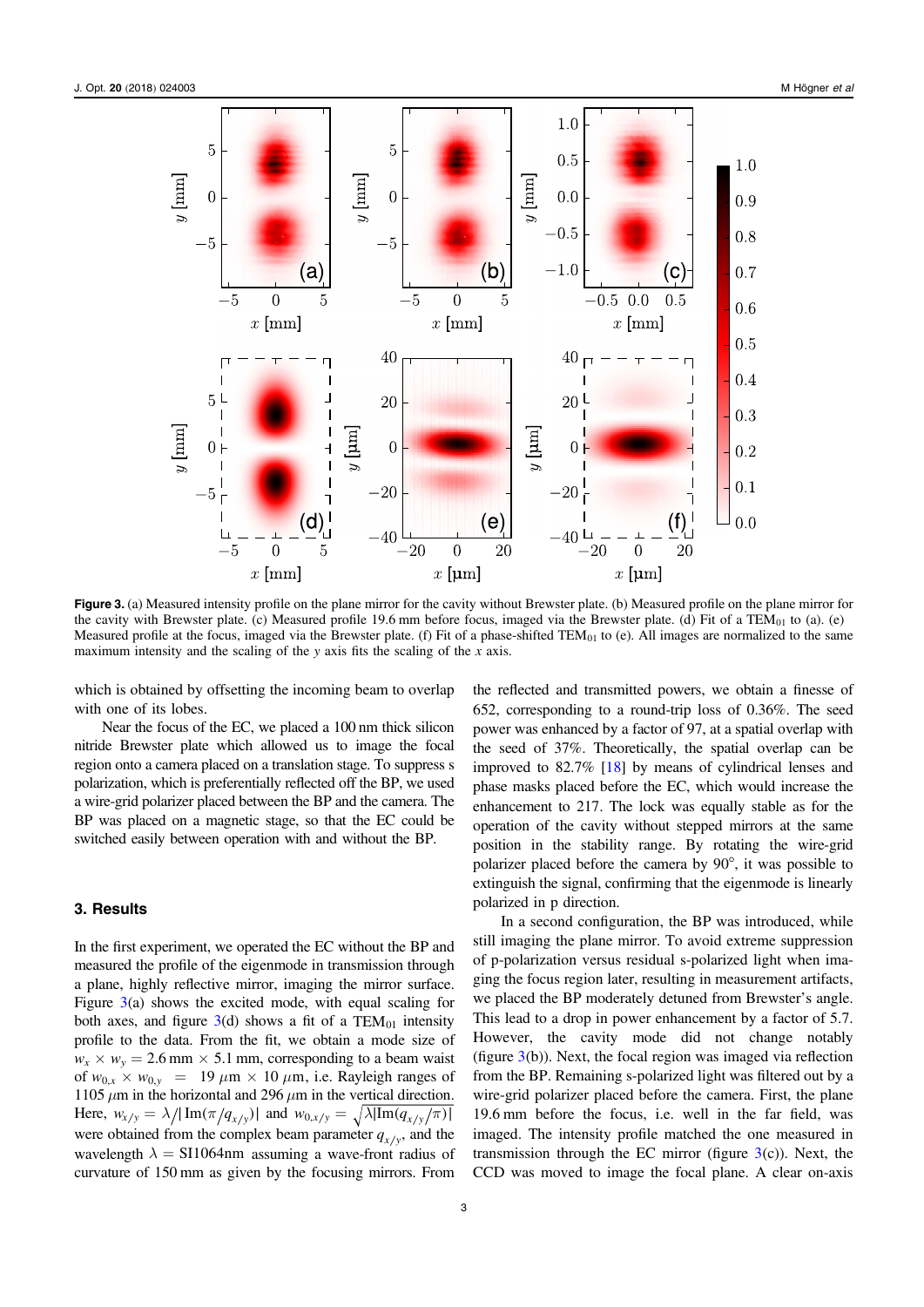<span id="page-3-0"></span>

Figure 3. (a) Measured intensity profile on the plane mirror for the cavity without Brewster plate. (b) Measured profile on the plane mirror for the cavity with Brewster plate. (c) Measured profile 19.6 mm before focus, imaged via the Brewster plate. (d) Fit of a TEM $_{01}$  to (a). (e) Measured profile at the focus, imaged via the Brewster plate. (f) Fit of a phase-shifted TEM $_{01}$  to (e). All images are normalized to the same maximum intensity and the scaling of the  $y$  axis fits the scaling of the  $x$  axis.

which is obtained by offsetting the incoming beam to overlap with one of its lobes.

Near the focus of the EC, we placed a 100 nm thick silicon nitride Brewster plate which allowed us to image the focal region onto a camera placed on a translation stage. To suppress s polarization, which is preferentially reflected off the BP, we used a wire-grid polarizer placed between the BP and the camera. The BP was placed on a magnetic stage, so that the EC could be switched easily between operation with and without the BP.

## 3. Results

In the first experiment, we operated the EC without the BP and measured the profile of the eigenmode in transmission through a plane, highly reflective mirror, imaging the mirror surface. Figure 3(a) shows the excited mode, with equal scaling for both axes, and figure  $3(d)$  shows a fit of a TEM<sub>01</sub> intensity profile to the data. From the fit, we obtain a mode size of  $w_x \times w_y = 2.6$  mm  $\times$  5.1 mm, corresponding to a beam waist of  $w_{0,x} \times w_{0,y} = 19 \mu m \times 10 \mu m$ , i.e. Rayleigh ranges of 1105  $\mu$ m in the horizontal and 296  $\mu$ m in the vertical direction. Here,  $w_{x/y} = \lambda / |\text{Im}(\pi / q_{x/y})|$  and  $w_{0,x/y} = \sqrt{\lambda |\text{Im}(q_{x/y}/\pi)|}$ were obtained from the complex beam parameter  $q_{x/y}$ , and the wavelength  $\lambda = \frac{SI1064 \text{nm}}{4}$  assuming a wave-front radius of curvature of 150 mm as given by the focusing mirrors. From

652, corresponding to a round-trip loss of 0.36%. The seed power was enhanced by a factor of 97, at a spatial overlap with the seed of 37%. Theoretically, the spatial overlap can be improved to 82.7% [[18](#page-6-0)] by means of cylindrical lenses and phase masks placed before the EC, which would increase the enhancement to 217. The lock was equally stable as for the operation of the cavity without stepped mirrors at the same position in the stability range. By rotating the wire-grid polarizer placed before the camera by 90°, it was possible to extinguish the signal, confirming that the eigenmode is linearly polarized in p direction. In a second configuration, the BP was introduced, while

the reflected and transmitted powers, we obtain a finesse of

still imaging the plane mirror. To avoid extreme suppression of p-polarization versus residual s-polarized light when imaging the focus region later, resulting in measurement artifacts, we placed the BP moderately detuned from Brewster's angle. This lead to a drop in power enhancement by a factor of 5.7. However, the cavity mode did not change notably (figure  $3(b)$ ). Next, the focal region was imaged via reflection from the BP. Remaining s-polarized light was filtered out by a wire-grid polarizer placed before the camera. First, the plane 19.6 mm before the focus, i.e. well in the far field, was imaged. The intensity profile matched the one measured in transmission through the EC mirror (figure  $3(c)$ ). Next, the CCD was moved to image the focal plane. A clear on-axis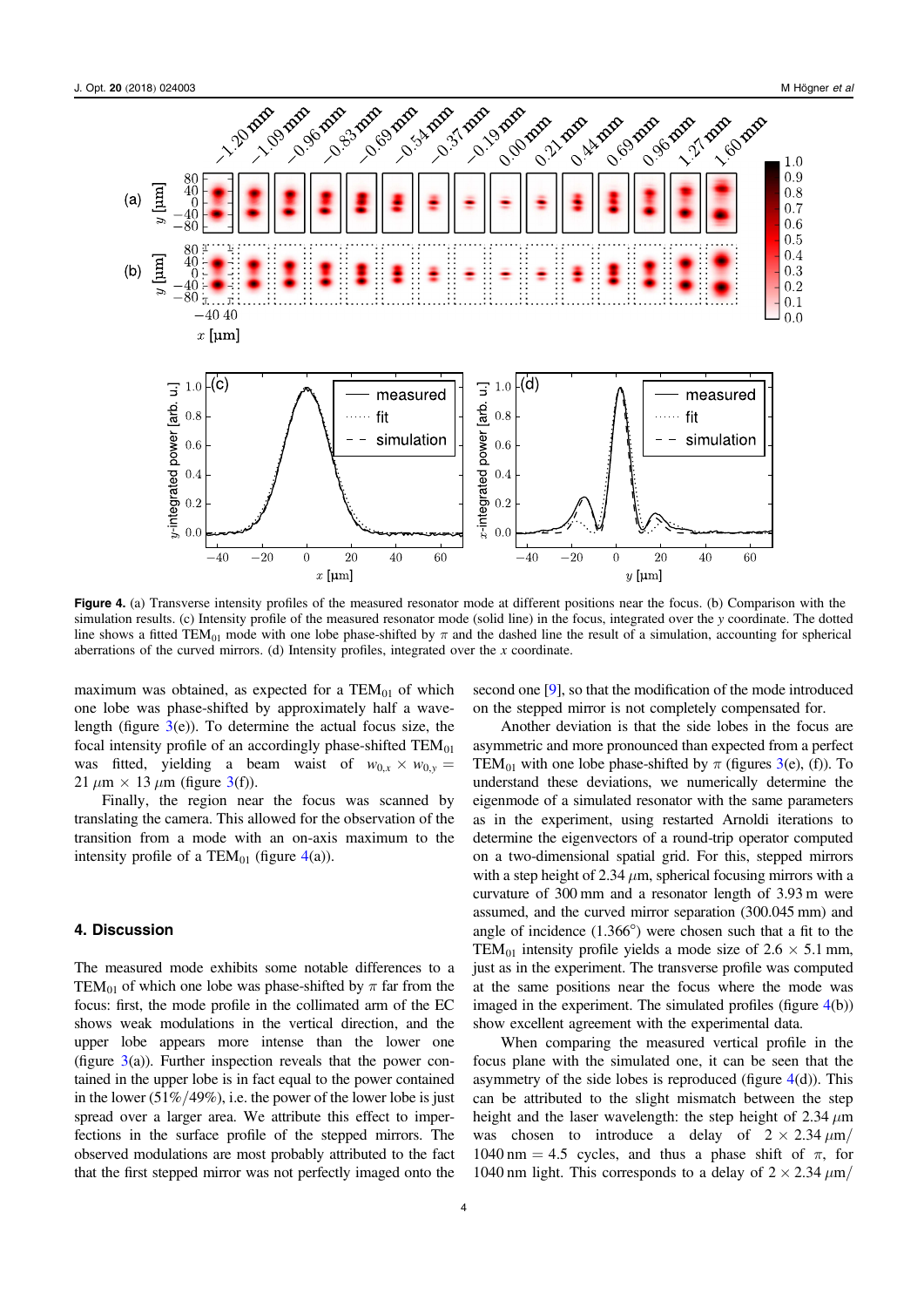<span id="page-4-0"></span>

Figure 4. (a) Transverse intensity profiles of the measured resonator mode at different positions near the focus. (b) Comparison with the simulation results. (c) Intensity profile of the measured resonator mode (solid line) in the focus, integrated over the y coordinate. The dotted line shows a fitted TEM<sub>01</sub> mode with one lobe phase-shifted by  $\pi$  and the dashed line the result of a simulation, accounting for spherical aberrations of the curved mirrors. (d) Intensity profiles, integrated over the  $x$  coordinate.

maximum was obtained, as expected for a  $TEM_{01}$  of which one lobe was phase-shifted by approximately half a wavelength (figure  $3(e)$  $3(e)$ ). To determine the actual focus size, the focal intensity profile of an accordingly phase-shifted  $TEM_{01}$ was fitted, yielding a beam waist of  $w_{0,x} \times w_{0,y} =$ 21  $\mu$ m × 1[3](#page-3-0)  $\mu$ m (figure 3(f)).

Finally, the region near the focus was scanned by translating the camera. This allowed for the observation of the transition from a mode with an on-axis maximum to the intensity profile of a TEM $_{01}$  (figure 4(a)).

#### 4. Discussion

The measured mode exhibits some notable differences to a TEM<sub>01</sub> of which one lobe was phase-shifted by  $\pi$  far from the focus: first, the mode profile in the collimated arm of the EC shows weak modulations in the vertical direction, and the upper lobe appears more intense than the lower one (figure  $3(a)$  $3(a)$ ). Further inspection reveals that the power contained in the upper lobe is in fact equal to the power contained in the lower  $(51\%/49\%)$ , i.e. the power of the lower lobe is just spread over a larger area. We attribute this effect to imperfections in the surface profile of the stepped mirrors. The observed modulations are most probably attributed to the fact that the first stepped mirror was not perfectly imaged onto the second one [[9](#page-6-0)], so that the modification of the mode introduced on the stepped mirror is not completely compensated for.

Another deviation is that the side lobes in the focus are asymmetric and more pronounced than expected from a perfect TEM<sub>01</sub> with one lobe phase-shifted by  $\pi$  (figures [3](#page-3-0)(e), (f)). To understand these deviations, we numerically determine the eigenmode of a simulated resonator with the same parameters as in the experiment, using restarted Arnoldi iterations to determine the eigenvectors of a round-trip operator computed on a two-dimensional spatial grid. For this, stepped mirrors with a step height of 2.34  $\mu$ m, spherical focusing mirrors with a curvature of 300 mm and a resonator length of 3.93 m were assumed, and the curved mirror separation (300.045 mm) and angle of incidence (1.366°) were chosen such that a fit to the TEM<sub>01</sub> intensity profile yields a mode size of  $2.6 \times 5.1$  mm, just as in the experiment. The transverse profile was computed at the same positions near the focus where the mode was imaged in the experiment. The simulated profiles (figure  $4(b)$ ) show excellent agreement with the experimental data.

When comparing the measured vertical profile in the focus plane with the simulated one, it can be seen that the asymmetry of the side lobes is reproduced (figure  $4(d)$ ). This can be attributed to the slight mismatch between the step height and the laser wavelength: the step height of 2.34  $\mu$ m was chosen to introduce a delay of  $2 \times 2.34 \mu m$ / 1040 nm = 4.5 cycles, and thus a phase shift of  $\pi$ , for 1040 nm light. This corresponds to a delay of  $2 \times 2.34 \mu m$ /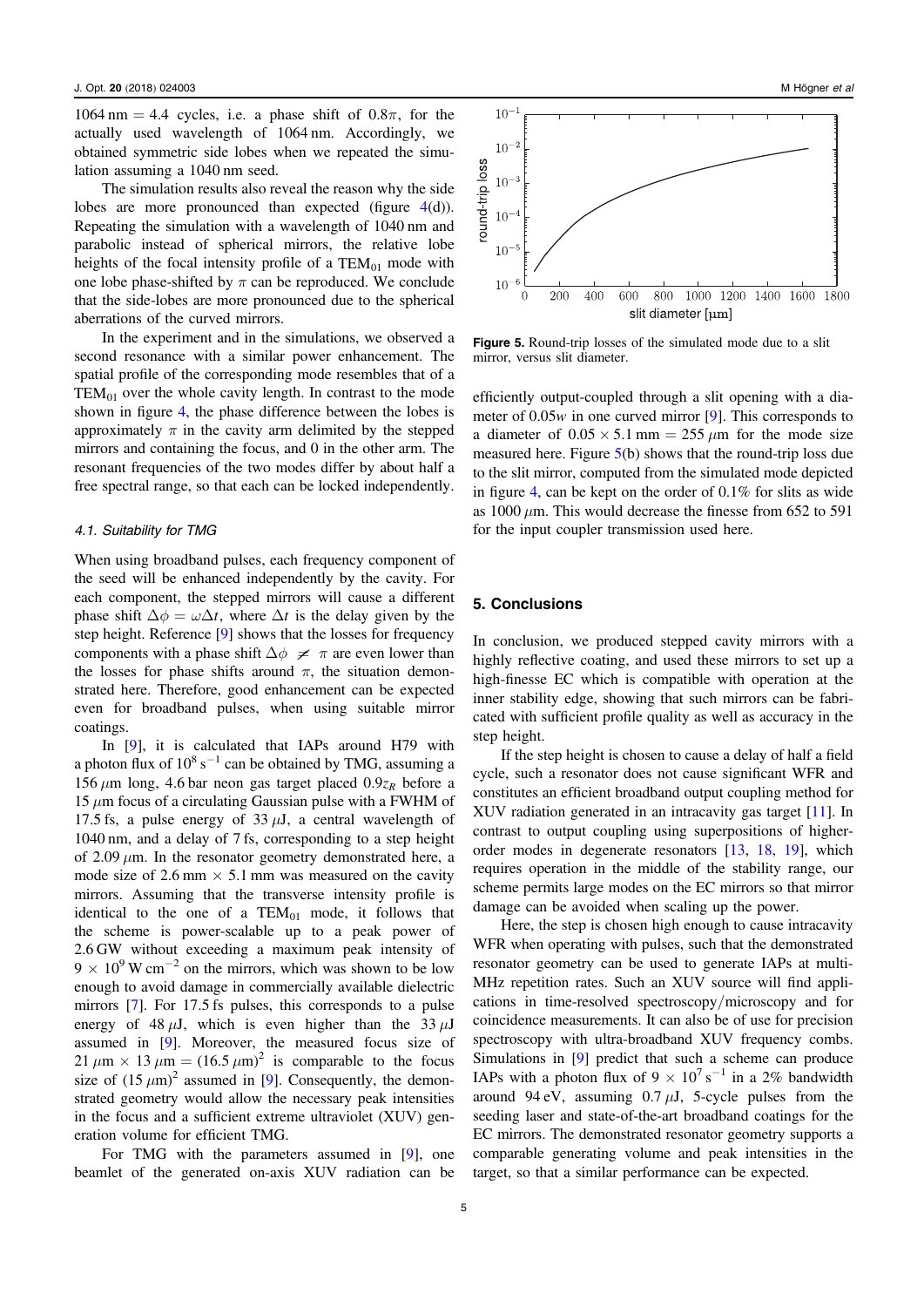1064 nm = 4.4 cycles, i.e. a phase shift of  $0.8\pi$ , for the actually used wavelength of 1064 nm. Accordingly, we obtained symmetric side lobes when we repeated the simulation assuming a 1040 nm seed.

The simulation results also reveal the reason why the side lobes are more pronounced than expected (figure  $4(d)$  $4(d)$ ). Repeating the simulation with a wavelength of 1040 nm and parabolic instead of spherical mirrors, the relative lobe heights of the focal intensity profile of a  $TEM_{01}$  mode with one lobe phase-shifted by  $\pi$  can be reproduced. We conclude that the side-lobes are more pronounced due to the spherical aberrations of the curved mirrors.

In the experiment and in the simulations, we observed a second resonance with a similar power enhancement. The spatial profile of the corresponding mode resembles that of a  $TEM_{01}$  over the whole cavity length. In contrast to the mode shown in figure [4,](#page-4-0) the phase difference between the lobes is approximately  $\pi$  in the cavity arm delimited by the stepped mirrors and containing the focus, and 0 in the other arm. The resonant frequencies of the two modes differ by about half a free spectral range, so that each can be locked independently.

#### 4.1. Suitability for TMG

When using broadband pulses, each frequency component of the seed will be enhanced independently by the cavity. For each component, the stepped mirrors will cause a different phase shift  $\Delta \phi = \omega \Delta t$ , where  $\Delta t$  is the delay given by the step height. Reference [[9](#page-6-0)] shows that the losses for frequency components with a phase shift  $\Delta \phi \neq \pi$  are even lower than the losses for phase shifts around  $\pi$ , the situation demonstrated here. Therefore, good enhancement can be expected even for broadband pulses, when using suitable mirror coatings.

In [[9](#page-6-0)], it is calculated that IAPs around H79 with a photon flux of  $10^8$  s<sup>-1</sup> can be obtained by TMG, assuming a 156  $\mu$ m long, 4.6 bar neon gas target placed 0.9 $z_R$  before a  $15 \mu m$  focus of a circulating Gaussian pulse with a FWHM of 17.5 fs, a pulse energy of 33  $\mu$ J, a central wavelength of 1040 nm, and a delay of 7 fs, corresponding to a step height of 2.09  $\mu$ m. In the resonator geometry demonstrated here, a mode size of 2.6 mm  $\times$  5.1 mm was measured on the cavity mirrors. Assuming that the transverse intensity profile is identical to the one of a  $TEM_{01}$  mode, it follows that the scheme is power-scalable up to a peak power of 2.6 GW without exceeding a maximum peak intensity of  $9 \times 10^{9}$  W cm<sup>-2</sup> on the mirrors, which was shown to be low enough to avoid damage in commercially available dielectric mirrors [[7](#page-6-0)]. For 17.5 fs pulses, this corresponds to a pulse energy of 48  $\mu$ J, which is even higher than the 33  $\mu$ J assumed in [[9](#page-6-0)]. Moreover, the measured focus size of 21  $\mu$ m × 13  $\mu$ m = (16.5  $\mu$ m)<sup>2</sup> is comparable to the focus size of  $(15 \mu m)^2$  assumed in [[9](#page-6-0)]. Consequently, the demonstrated geometry would allow the necessary peak intensities in the focus and a sufficient extreme ultraviolet (XUV) generation volume for efficient TMG.

For TMG with the parameters assumed in [[9](#page-6-0)], one beamlet of the generated on-axis XUV radiation can be



Figure 5. Round-trip losses of the simulated mode due to a slit mirror, versus slit diameter.

efficiently output-coupled through a slit opening with a diameter of 0.05*w* in one curved mirror [[9](#page-6-0)]. This corresponds to a diameter of  $0.05 \times 5.1$  mm = 255  $\mu$ m for the mode size measured here. Figure 5(b) shows that the round-trip loss due to the slit mirror, computed from the simulated mode depicted in figure [4](#page-4-0), can be kept on the order of 0.1% for slits as wide as 1000  $\mu$ m. This would decrease the finesse from 652 to 591 for the input coupler transmission used here.

#### 5. Conclusions

In conclusion, we produced stepped cavity mirrors with a highly reflective coating, and used these mirrors to set up a high-finesse EC which is compatible with operation at the inner stability edge, showing that such mirrors can be fabricated with sufficient profile quality as well as accuracy in the step height.

If the step height is chosen to cause a delay of half a field cycle, such a resonator does not cause significant WFR and constitutes an efficient broadband output coupling method for XUV radiation generated in an intracavity gas target [[11](#page-6-0)]. In contrast to output coupling using superpositions of higherorder modes in degenerate resonators [[13](#page-6-0), [18,](#page-6-0) [19](#page-6-0)], which requires operation in the middle of the stability range, our scheme permits large modes on the EC mirrors so that mirror damage can be avoided when scaling up the power.

Here, the step is chosen high enough to cause intracavity WFR when operating with pulses, such that the demonstrated resonator geometry can be used to generate IAPs at multi-MHz repetition rates. Such an XUV source will find applications in time-resolved spectroscopy/microscopy and for coincidence measurements. It can also be of use for precision spectroscopy with ultra-broadband XUV frequency combs. Simulations in [[9](#page-6-0)] predict that such a scheme can produce IAPs with a photon flux of  $9 \times 10^7$  s<sup>-1</sup> in a 2% bandwidth around 94 eV, assuming  $0.7 \mu J$ , 5-cycle pulses from the seeding laser and state-of-the-art broadband coatings for the EC mirrors. The demonstrated resonator geometry supports a comparable generating volume and peak intensities in the target, so that a similar performance can be expected.